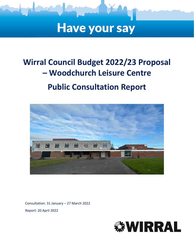

# **Have your say**

## **Wirral Council Budget 2022/23 Proposal – Woodchurch Leisure Centre Public Consultation Report**



Consultation: 31 January – 27 March 2022 Report: 20 April 2022

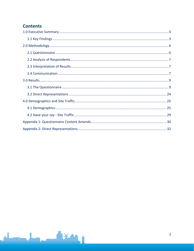## **Contents**

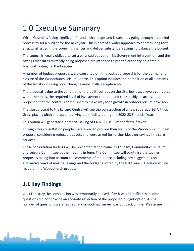## <span id="page-2-0"></span>1.0 Executive Summary

Wirral Council is facing significant financial challenges and is currently going through a detailed process to set a budget for the next year. This is part of a wider approach to address long term structural issues in the council's finances and deliver substantial savings to balance the budget.

The council is legally obliged to set a balanced budget or risk Government intervention, and the savings measures currently being proposed are intended to put the authority on a stable financial footing for the long-term.

A number of budget proposals were consulted on, this budget proposal is for the permanent closure of the Woodchurch Leisure Centre. This option includes the demolition of all elements of the facility including pool, changing areas, halls, reception etc.

The proposal is due to the condition of the built facilities on the site, low usage levels compared with other sites, the required level of investment required and the subsidy it carries. It is proposed that the centre is demolished to make way for a growth in outdoor leisure provision.

The site adjacent to the Leisure Centre will see the construction of a new supersize 3G Artificial Grass playing pitch and accompanying built facility during the 2022-23 Financial Year.

This option will generate a potential saving of £402,000 (full year effect) if taken.

Through this consultation people were asked to provide their views of the Woodchurch budget proposal considering reduced budgets and were asked for further ideas on savings in leisure services.

These consultation findings will be presented at the council's Tourism, Communities, Culture and Leisure Committee at the meeting in June. The Committee will scrutinise the savings proposals taking into account the comments of the public including any suggestions on alternative ways of making savings and the budget allotted by the full Council. Decision will be made on the Woodchurch proposal.

## <span id="page-2-1"></span>**1.1 Key Findings**

On 3 February the consultation was temporarily paused after it was identified that some questions did not provide an accurate reflection of the proposed budget option. A small number of questions were revised, and a modified survey was put back online. Please see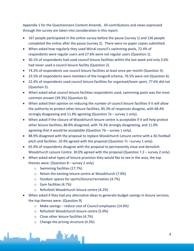Appendix 1 for the Questionnaire Content Amends. All contributions and views expressed through the survey are taken into consideration in this report.

- 167 people participated in the online survey before the pause (survey 1) and 136 people completed the online after the pause (survey 2). There were no paper copies submitted.
- When asked how regularly they used Wirral council's swimming pools, 72.4% of respondents were regular users and 27.6% were not regular users (Question 1).
- 30.1% of respondents had used council leisure facilities within the last week and only 3.6% had never used a council leisure facility (Question 2).
- 74.2% of respondents use council leisure facilities at least once per month (Question 3).
- 23.5% of respondents were members of the Invigor8 scheme, 76.5% were not (Question 4).
- 22.4% of respondents used council leisure facilities for organised/team sport, 77.6% did not (Question 5).
- When asked what council leisure facilities respondents used, swimming pools was the most common answer (39.3%) (Question 6).
- When asked their opinion on reducing the number of council leisure facilities if it will allow the authority to protect other leisure facilities, 85.3% of responses disagree, with 68.4% strongly disagreeing and 11.8% agreeing (Question 7a – survey 1 only).
- When asked if the closure of Woodchurch leisure centre is acceptable if it will help protect other leisure facilities, 86.8% disagreed, with 74.3% strongly disagreeing, and 11.0% agreeing that it would be acceptable (Question 7b – survey 1 only).
- 88.9% disagreed with the proposal to replace Woodchurch Leisure centre with a 3G football pitch and facilities. 10.4% agreed with the proposal (Question 7c –survey 1 only).
- 65.9% of respondents disagree with the proposal to permanently close and demolish Woodchurch Leisure Centre. 30.0% agreed with the proposal (Question 7.2 – survey 2 only).
- When asked what types of leisure provision they would like to see in the area, the top themes were: (Question 8 – survey 2 only)
	- o Swimming facilities (17.7%)
	- o Retain the existing leisure centre at Woodchurch (7.0%)
	- o Outdoor spaces for sports/leisure/recreation (4.7%)
	- o Gym facilities (4.7%)
	- o Refurbish Woodchurch leisure centre (4.2%)
- When asked if they had any alternative ideas to generate budget savings in leisure services, the top themes were: (Question 9)
	- o Make savings reduce cost of Council employees (14.0%)
	- o Refurbish Woodchurch leisure centre (5.0%)
	- o Close other leisure facilities (4.7%)
	- o Change the pricing structure (4.3%)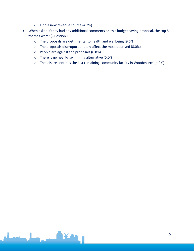- o Find a new revenue source (4.3%)
- When asked if they had any additional comments on this budget saving proposal, the top 5 themes were: (Question 10)
	- o The proposals are detrimental to health and wellbeing (9.6%)
	- o The proposals disproportionately affect the most deprived (8.0%)
	- o People are against the proposals (6.8%)
	- o There is no nearby swimming alternative (5.0%)
	- o The leisure centre is the last remaining community facility in Woodchurch (4.0%)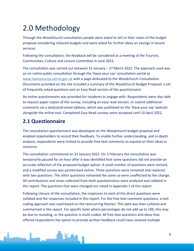## <span id="page-5-0"></span>2.0 Methodology

Through the Woodchurch consultation people were asked to tell us their views of the budget proposal considering reduced budgets and were asked for further ideas on savings in leisure services.

Following the consultation, the feedback will be considered at a meeting of the Tourism, Communities, Culture and Leisure Committee in June 2022.

The consultation was carried out between 31 January – 27 March 2022. The approach used was an on online public consultation through the 'Have your say' consultation portal at [www.haveyoursay.wirral.gov.uk](https://wirralcouncil.sharepoint.com/sites/Team-0401/Shared%20Documents/General/2020%20EngagementHQ/Budget/www.haveyoursay.wirral.gov.uk) with a page dedicated to the Woodchurch Consultation. Documents provided on the site included a summary of the Woodchurch Budget Proposal, a set of frequently asked questions and an Easy Read version of the questionnaire.

An online questionnaire was provided for residents to engage with. Respondents were also able to request paper copies of the survey, including an easy read version, or submit additional comments via a dedicated email address, which was published on the 'Have your say' website alongside the online tool. Completed Easy Read surveys were accepted until 10 April 2022.

## <span id="page-5-1"></span>**2.1 Questionnaire**

The consultation questionnaire was developed on the Woodchurch budget proposal and enabled stakeholders to record their feedback. To enable further understanding, and in-depth analysis, respondents were invited to provide free-text comments to expand on their ideas or concerns.

The consultation commenced on 31 January 2022. On 3 February the consultation was temporarily paused for an hour after it was identified that some questions did not provide an accurate reflection of the proposed budget option. A small number of questions were revised, and a modified survey was posted back online. Three questions were removed and replaced with two questions. The other questions remained the same so were unaffected by the change. All contributions and views collected from both questionnaires were analysed and collated in this report. The questions that were changed are noted in Appendix 1 of this report.

Following closure of the consultation, the responses to each of the direct questions were collated and the responses included in this report. For the free-text comment questions, a text coding approach was used based on the reoccurring themes. This data was then collated and summarised in the report. For specific tools where percentages do not add up to 100, this may be due to rounding, or the question is multi-coded. All free-text questions and ideas that offered respondents the option to provide written feedback could have covered multiple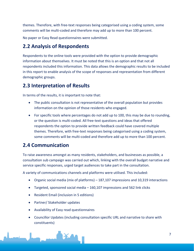themes. Therefore, with free-text responses being categorised using a coding system, some comments will be multi-coded and therefore may add up to more than 100 percent.

No paper or Easy Read questionnaires were submitted.

### <span id="page-6-0"></span>**2.2 Analysis of Respondents**

Respondents to the online tools were provided with the option to provide demographic information about themselves. It must be noted that this is an option and that not all respondents included this information. This data allows the demographic results to be included in this report to enable analysis of the scope of responses and representation from different demographic groups.

### <span id="page-6-1"></span>**2.3 Interpretation of Results**

In terms of the results, it is important to note that:

- The public consultation is not representative of the overall population but provides information on the opinion of those residents who engaged.
- For specific tools where percentages do not add up to 100, this may be due to rounding, or the question is multi-coded. All free-text questions and ideas that offered respondents the option to provide written feedback could have covered multiple themes. Therefore, with free-text responses being categorised using a coding system, some comments will be multi-coded and therefore add up to more than 100 percent.

### <span id="page-6-2"></span>**2.4 Communication**

To raise awareness amongst as many residents, stakeholders, and businesses as possible, a consultation sub campaign was carried out which, linking with the overall budget narrative and service specific responses, urged target audiences to take part in the consultation.

A variety of communications channels and platforms were utilised. This included:

- Organic social media (mix of platforms) 187,107 impressions and 10,319 interactions
- Targeted, sponsored social media 160,107 impressions and 562 link clicks
- Resident Email (inclusion in 5 editions)
- Partner/ Stakeholder updates
- Availability of Easy read questionnaires
- Councillor Updates (including consultation specific URL and narrative to share with constituents)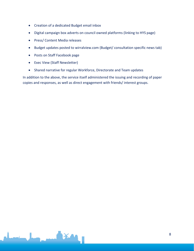- Creation of a dedicated Budget email inbox
- Digital campaign box adverts on council owned platforms (linking to HYS page)
- Press/ Content Media releases
- Budget updates posted to wirralview.com (Budget/ consultation specific news tab)
- Posts on Staff Facebook page
- Exec View (Staff Newsletter)
- Shared narrative for regular Workforce, Directorate and Team updates

In addition to the above, the service itself administered the issuing and recording of paper copies and responses, as well as direct engagement with friends/ interest groups.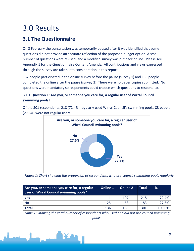## <span id="page-8-0"></span>3.0 Results

## <span id="page-8-1"></span>**3.1 The Questionnaire**

On 3 February the consultation was temporarily paused after it was identified that some questions did not provide an accurate reflection of the proposed budget option. A small number of questions were revised, and a modified survey was put back online. Please see Appendix 1 for the Questionnaire Content Amends. All contributions and views expressed through the survey are taken into consideration in this report.

167 people participated in the online survey before the pause (survey 1) and 136 people completed the online after the pause (survey 2). There were no paper copies submitted. No questions were mandatory so respondents could choose which questions to respond to.

#### **3.1.1 Question 1: Are you, or someone you care for, a regular user of Wirral Council swimming pools?**

Of the 301 respondents, 218 (72.4%) regularly used Wirral Council's swimming pools. 83 people (27.6%) were not regular users.



*Figure 1: Chart showing the proportion of respondents who use council swimming pools regularly.*

| Are you, or someone you care for, a regular<br>user of Wirral Council swimming pools? | Online 1 | <b>Online 2</b> | Total | %      |
|---------------------------------------------------------------------------------------|----------|-----------------|-------|--------|
| Yes                                                                                   | 111      | 107             | 218   | 72.4%  |
| <b>No</b>                                                                             | 25       | 58              | 83    | 27.6%  |
| <b>Total</b>                                                                          | 136      | 165             | 301   | 100.0% |

*Table 1: Showing the total number of respondents who used and did not use council swimming pools.*

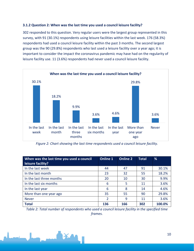#### **3.1.2 Question 2: When was the last time you used a council leisure facility?**

302 responded to this question. Very regular users were the largest group represented in this survey, with 91 (30.1%) respondents using leisure facilities within the last week. 176 (58.3%) respondents had used a council leisure facility within the past 3 months. The second largest group was the 90 (29.8%) respondents who last used a leisure facility over a year ago; it is important to consider the impact the coronavirus pandemic may have had on the regularity of leisure facility use. 11 (3.6%) respondents had never used a council leisure facility.



*Figure 2: Chart showing the last time respondents used a council leisure facility.*

| When was the last time you used a council<br>leisure facility? | <b>Online 1</b> | <b>Online 2</b> | <b>Total</b> | %      |
|----------------------------------------------------------------|-----------------|-----------------|--------------|--------|
| In the last week                                               | 44              | 47              | 91           | 30.1%  |
| In the last month                                              | 23              | 32              | 55           | 18.2%  |
| In the last three months                                       | 20              | 10              | 30           | 9.9%   |
| In the last six months                                         | 6               | 5               | 11           | 3.6%   |
| In the last year                                               | 6               | 8               | 14           | 4.6%   |
| More than one year ago                                         | 35              | 55              | 90           | 29.8%  |
| <b>Never</b>                                                   | 2               | 9               | 11           | 3.6%   |
| <b>Total</b>                                                   | 136             | 166             | 302          | 100.0% |

*Table 2: Total number of respondents who used a council leisure facility in the specified time frames.*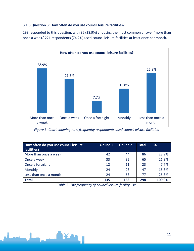#### **3.1.3 Question 3: How often do you use council leisure facilities?**

298 responded to this question, with 86 (28.9%) choosing the most common answer 'more than once a week.' 221 respondents (74.2%) used council leisure facilities at least once per month.



*Figure 3: Chart showing how frequently respondents used council leisure facilities.*

| How often do you use council leisure<br>facilities? | <b>Online 1</b> | <b>Online 2</b> | <b>Total</b> | %      |
|-----------------------------------------------------|-----------------|-----------------|--------------|--------|
| More than once a week                               | 42              | 44              | 86           | 28.9%  |
| Once a week                                         | 33              | 32              | 65           | 21.8%  |
| Once a fortnight                                    | 12              | 11              | 23           | 7.7%   |
| Monthly                                             | 24              | 23              | 47           | 15.8%  |
| Less than once a month                              | 24              | 53              | 77           | 25.8%  |
| <b>Total</b>                                        | 135             | 163             | 298          | 100.0% |

*Table 3: The frequency of council leisure facility use.*

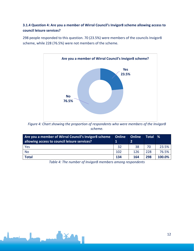#### **3.1.4 Question 4: Are you a member of Wirral Council's Invigor8 scheme allowing access to council leisure services?**

298 people responded to this question. 70 (23.5%) were members of the councils Invigor8 scheme, while 228 (76.5%) were not members of the scheme.



*Figure 4: Chart showing the proportion of respondents who were members of the Invigor8 scheme.*

| Are you a member of Wirral Council's Invigor8 scheme<br>allowing access to council leisure services? | <b>Online</b> | <b>Online</b> | Total | %      |
|------------------------------------------------------------------------------------------------------|---------------|---------------|-------|--------|
| Yes                                                                                                  | 32            | 38            | 70    | 23.5%  |
| <b>No</b>                                                                                            | 102           | 126           | 228   | 76.5%  |
| <b>Total</b>                                                                                         | 134           | 164           | 298   | 100.0% |

*Table 4: The number of Invigor8 members among respondents*

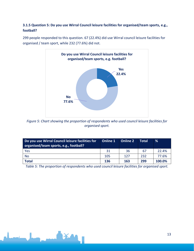#### **3.1.5 Question 5: Do you use Wirral Council leisure facilities for organised/team sports, e.g., football?**



299 people responded to this question. 67 (22.4%) did use Wirral council leisure facilities for organised / team sport, while 232 (77.6%) did not.

*Figure 5: Chart showing the proportion of respondents who used council leisure facilities for organised sport.*

| Do you use Wirral Council leisure facilities for<br>organised/team sports, e.g., football? | Online 1 | <b>Online 2</b> | Total | %      |
|--------------------------------------------------------------------------------------------|----------|-----------------|-------|--------|
| Yes                                                                                        | 31       | 36              | 67    | 22.4%  |
| <b>No</b>                                                                                  | 105      | 127             | 232   | 77.6%  |
| <b>Total</b>                                                                               | 136      | 163             | 299   | 100.0% |

*Table 5: The proportion of respondents who used council leisure facilities for organised sport.*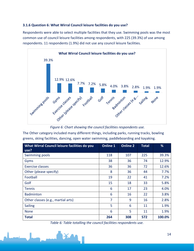#### **3.1.6 Question 6: What Wirral Council leisure facilities do you use?**

Respondents were able to select multiple facilities that they use. Swimming pools was the most common use of council leisure facilities among respondents, with 225 (39.3%) of use among respondents. 11 respondents (1.9%) did not use any council leisure facilities.



*Figure 6: Chart showing the council facilities respondents use.*

The Other category included many different things, including parks, running tracks, bowling greens, skiing facilities, dancing, open water swimming, paddleboarding and kayaking.

| What Wirral Council leisure facilities do you<br>use? | <b>Online 1</b> | <b>Online 2</b> | <b>Total</b> | %      |
|-------------------------------------------------------|-----------------|-----------------|--------------|--------|
| Swimming pools                                        | 118             | 107             | 225          | 39.3%  |
| Gyms                                                  | 38              | 36              | 74           | 12.9%  |
| <b>Exercise classes</b>                               | 36              | 36              | 72           | 12.6%  |
| Other (please specify)                                | 8               | 36              | 44           | 7.7%   |
| Football                                              | 19              | 22              | 41           | 7.2%   |
| Golf                                                  | 15              | 18              | 33           | 5.8%   |
| <b>Tennis</b>                                         | 6               | 17              | 23           | 4.0%   |
| <b>Badminton</b>                                      | 6               | 16              | 22           | 3.8%   |
| Other classes (e.g., martial arts)                    | 7               | 9               | 16           | 2.8%   |
| <b>Sailing</b>                                        | 5               | 6               | 11           | 1.9%   |
| <b>None</b>                                           | 6               | 5               | 11           | 1.9%   |
| <b>Total</b>                                          | 264             | 308             | 572          | 100.0% |

*Table 6: Table totalling the council facilities respondents use.*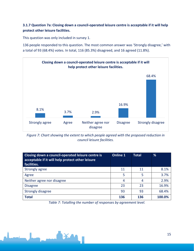#### **3.1.7 Question 7a: Closing down a council-operated leisure centre is acceptable if it will help protect other leisure facilities.**

This question was only included in survey 1.

136 people responded to this question. The most common answer was 'Strongly disagree,' with a total of 93 (68.4%) votes. In total, 116 (85.3%) disagreed, and 16 agreed (11.8%).



*Figure 7: Chart showing the extent to which people agreed with the proposed reduction in council leisure facilities.*

| Closing down a council-operated leisure centre is<br>acceptable if it will help protect other leisure<br>facilities. | <b>Online 1</b> | <b>Total</b> | %      |
|----------------------------------------------------------------------------------------------------------------------|-----------------|--------------|--------|
| Strongly agree                                                                                                       | 11              | 11           | 8.1%   |
| Agree                                                                                                                | 5               | 5            | 3.7%   |
| Neither agree nor disagree                                                                                           | 4               | 4            | 2.9%   |
| <b>Disagree</b>                                                                                                      | 23              | 23           | 16.9%  |
| Strongly disagree                                                                                                    | 93              | 93           | 68.4%  |
| <b>Total</b>                                                                                                         | 136             | 136          | 100.0% |

*Table 7: Totalling the number of responses by agreement level.*

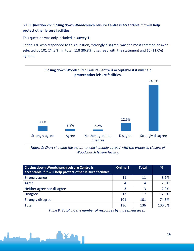#### **3.1.8 Question 7b: Closing down Woodchurch Leisure Centre is acceptable if it will help protect other leisure facilities.**

This question was only included in survey 1.

Of the 136 who responded to this question, 'Strongly disagree' was the most common answer – selected by 101 (74.3%). In total, 118 (86.8%) disagreed with the statement and 15 (11.0%) agreed.



*Figure 8: Chart showing the extent to which people agreed with the proposed closure of Woodchurch leisure facility.*

| <b>Closing down Woodchurch Leisure Centre is</b><br>acceptable if it will help protect other leisure facilities. | <b>Online 1</b> | Total | %      |
|------------------------------------------------------------------------------------------------------------------|-----------------|-------|--------|
| Strongly agree                                                                                                   | 11              | 11    | 8.1%   |
| Agree                                                                                                            | 4               | 4     | 2.9%   |
| Neither agree nor disagree                                                                                       | 3               | ₹     | 2.2%   |
| <b>Disagree</b>                                                                                                  | 17              | 17    | 12.5%  |
| Strongly disagree                                                                                                | 101             | 101   | 74.3%  |
| Total                                                                                                            | 136             | 136   | 100.0% |

*Table 8: Totalling the number of responses by agreement level.*

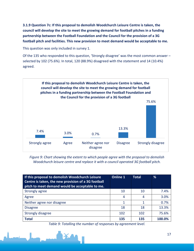**3.1.9 Question 7c: If this proposal to demolish Woodchurch Leisure Centre is taken, the council will develop the site to meet the growing demand for football pitches in a funding partnership between the Football Foundation and the Council for the provision of a 3G football pitch and facilities. This new provision to meet demand would be acceptable to me.**

This question was only included in survey 1.

Of the 135 who responded to this question, 'Strongly disagree' was the most common answer – selected by 102 (75.6%). In total, 120 (88.9%) disagreed with the statement and 14 (10.4%) agreed.



*Figure 9: Chart showing the extent to which people agree with the proposal to demolish Woodchurch leisure centre and replace it with a council operated 3G football pitch.*

| If this proposal to demolish Woodchurch Leisure<br>Centre is taken, the new provision of a 3G football<br>pitch to meet demand would be acceptable to me. | <b>Online 1</b> | <b>Total</b> | %      |
|-----------------------------------------------------------------------------------------------------------------------------------------------------------|-----------------|--------------|--------|
| Strongly agree                                                                                                                                            | 10              | 10           | 7.4%   |
| Agree                                                                                                                                                     | 4               | 4            | 3.0%   |
| Neither agree nor disagree                                                                                                                                |                 |              | 0.7%   |
| <b>Disagree</b>                                                                                                                                           | 18              | 18           | 13.3%  |
| <b>Strongly disagree</b>                                                                                                                                  | 102             | 102          | 75.6%  |
| <b>Total</b>                                                                                                                                              | 135             | 135          | 100.0% |

*Table 9: Totalling the number of responses by agreement level.*

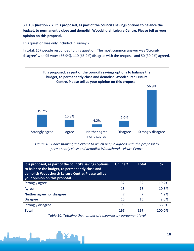#### **3.1.10 Question 7.2: It is proposed, as part of the council's savings options to balance the budget, to permanently close and demolish Woodchurch Leisure Centre. Please tell us your opinion on this proposal.**

This question was only included in survey 2.

In total, 167 people responded to this question. The most common answer was 'Strongly disagree' with 95 votes (56.9%). 110 (65.9%) disagree with the proposal and 50 (30.0%) agreed.



*Figure 10: Chart showing the extent to which people agreed with the proposal to permanently close and demolish Woodchurch Leisure Centre*

| It is proposed, as part of the council's savings options<br>to balance the budget, to permanently close and<br>demolish Woodchurch Leisure Centre. Please tell us<br>your opinion on this proposal. | <b>Online 2</b> | <b>Total</b> | %      |
|-----------------------------------------------------------------------------------------------------------------------------------------------------------------------------------------------------|-----------------|--------------|--------|
| Strongly agree                                                                                                                                                                                      | 32              | 32           | 19.2%  |
| Agree                                                                                                                                                                                               | 18              | 18           | 10.8%  |
| Neither agree nor disagree                                                                                                                                                                          | 7               | 7            | 4.2%   |
| <b>Disagree</b>                                                                                                                                                                                     | 15              | 15           | 9.0%   |
| Strongly disagree                                                                                                                                                                                   | 95              | 95           | 56.9%  |
| <b>Total</b>                                                                                                                                                                                        | 167             | 167          | 100.0% |

*Table 10: Totalling the number of responses by agreement level*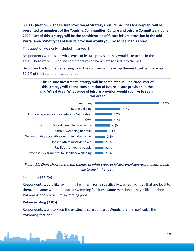**3.1.11 Question 8: The Leisure Investment Strategy (Leisure Facilities Masterplan) will be presented to members of the Tourism, Communities, Culture and Leisure Committee in June 2022. Part of this strategy will be the consideration of future leisure provision in the mid Wirral Area. What types of leisure provision would you like to see in this area?**

This question was only included in survey 2.

Respondents were asked what types of leisure provision they would like to see in the area. There were 115 online comments which were categorised into themes.

Below are the top themes arising from the comments, these top themes together make up 51.2% of the total themes identified.



*Figure 11: Chart showing the top themes of what types of leisure provision respondents would like to see in the area*

#### **Swimming (17.7%)**

Respondents would like swimming facilities. Some specifically wanted facilities that are local to them, and some wanted updated swimming facilities. Some mentioned they'd like outdoor swimming pools or a 50m swimming pool.

#### **Retain existing (7.0%)**

Respondents want to keep the existing leisure centre at Woodchurch, in particular the swimming facilities.

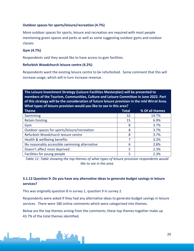#### **Outdoor spaces for sports/leisure/recreation (4.7%)**

More outdoor spaces for sports, leisure and recreation are required with most people mentioning green spaces and parks as well as some suggesting outdoor gyms and outdoor classes.

#### **Gym (4.7%)**

Respondents said they would like to have access to gym facilities.

#### **Refurbish Woodchurch leisure centre (4.2%)**

Respondents want the existing leisure centre to be refurbished. Some comment that this will increase usage, which will in turn increase revenue.

**The Leisure Investment Strategy (Leisure Facilities Masterplan) will be presented to members of the Tourism, Communities, Culture and Leisure Committee in June 2022. Part of this strategy will be the consideration of future leisure provision in the mid Wirral Area. What types of leisure provision would you like to see in this area?**

| <b>Theme</b>                                  | <b>Total</b> | % Of all themes |
|-----------------------------------------------|--------------|-----------------|
| Swimming                                      | 32           | 14.7%           |
| <b>Retain Existing</b>                        | 15           | 6.9%            |
| Gym                                           | 8            | 3.7%            |
| Outdoor spaces for sports/leisure/recreation  | 8            | 3.7%            |
| Refurbish Woodchurch leisure centre           | 8            | 3.7%            |
| Health & wellbeing benefits                   |              | 3.2%            |
| No reasonably accessible swimming alternative | 6            | 2.8%            |
| Doesn't affect most deprived                  | 5            | 2.3%            |
| Facilities for young people                   | 5            | 2.3%            |

*Table 11: Table showing the top themes of what types of leisure provision respondents would like to see in the area*

#### **3.1.12 Question 9: Do you have any alternative ideas to generate budget savings in leisure services?**

This was originally question 8 in survey 1, question 9 in survey 2.

Respondents were asked if they had any alternative ideas to generate budget savings in leisure services. There were 180 online comments which were categorised into themes.

Below are the top themes arising from the comments, these top themes together make up 43.7% of the total themes identified.

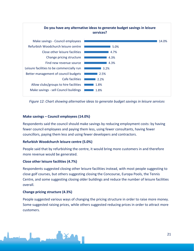

*Figure 12: Chart showing alternative ideas to generate budget savings in leisure services*

#### **Make savings – Council employees (14.0%)**

Respondents said the council should make savings by reducing employment costs: by having fewer council employees and paying them less, using fewer consultants, having fewer councillors, paying them less and using fewer developers and contractors.

#### **Refurbish Woodchurch leisure centre (5.0%)**

People said that by refurbishing the centre, it would bring more customers in and therefore more revenue would be generated.

#### **Close other leisure facilities (4.7%)**

Respondents suggested closing other leisure facilities instead, with most people suggesting to close golf courses, but others suggesting closing the Concourse, Europa Pools, the Tennis Centre, and some suggesting closing older buildings and reduce the number of leisure facilities overall.

#### **Change pricing structure (4.3%)**

People suggested various ways of changing the pricing structure in order to raise more money. Some suggested raising prices, while others suggested reducing prices in order to attract more customers.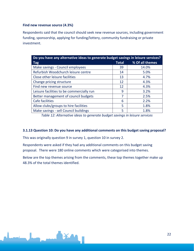#### **Find new revenue source (4.3%)**

Respondents said that the council should seek new revenue sources, including government funding, sponsorship, applying for funding/lottery, community fundraising or private investment.

| Do you have any alternative ideas to generate budget savings in leisure services? |    |                 |  |  |
|-----------------------------------------------------------------------------------|----|-----------------|--|--|
| <b>Tag</b>                                                                        |    | % Of all themes |  |  |
| Make savings - Council employees                                                  | 39 | 14.0%           |  |  |
| Refurbish Woodchurch leisure centre                                               | 14 | 5.0%            |  |  |
| Close other leisure facilities                                                    | 13 | 4.7%            |  |  |
| Change pricing structure                                                          | 12 | 4.3%            |  |  |
| Find new revenue source                                                           | 12 | 4.3%            |  |  |
| Leisure facilities to be commercially run                                         | 9  | 3.2%            |  |  |
| Better management of council budgets                                              | 7  | 2.5%            |  |  |
| Cafe facilities                                                                   | 6  | 2.2%            |  |  |
| Allow clubs/groups to hire facilities                                             | 5  | 1.8%            |  |  |
| Make savings - sell Council buildings                                             | 5  | 1.8%            |  |  |

*Table 12: Alternative ideas to generate budget savings in leisure services*

#### **3.1.13 Question 10: Do you have any additional comments on this budget saving proposal?**

This was originally question 9 in survey 1, question 10 in survey 2.

Respondents were asked if they had any additional comments on this budget saving proposal. There were 180 online comments which were categorised into themes.

Below are the top themes arising from the comments, these top themes together make up 48.3% of the total themes identified.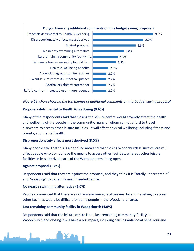

*Figure 13: chart showing the top themes of additional comments on this budget saving proposal*

#### **Proposals detrimental to Health & wellbeing (9.6%)**

Many of the respondents said that closing the leisure centre would severely affect the health and wellbeing of the people in the community, many of whom cannot afford to travel elsewhere to access other leisure facilities. It will affect physical wellbeing including fitness and obesity, and mental health.

#### **Disproportionately affects most deprived (8.0%)**

Many people said that this is a deprived area and that closing Woodchurch leisure centre will affect people who do not have the means to access other facilities, whereas other leisure facilities in less deprived parts of the Wirral are remaining open.

#### **Against proposal (6.8%)**

Respondents said that they are against the proposal, and they think it is "totally unacceptable" and "appalling" to close this much needed centre.

#### **No nearby swimming alternative (5.0%)**

People commented that there are not any swimming facilities nearby and travelling to access other facilities would be difficult for some people in the Woodchurch area.

#### **Last remaining community facility in Woodchurch (4.0%)**

Respondents said that the leisure centre is the last remaining community facility in Woodchurch and closing it will have a big impact, including causing anti-social behaviour and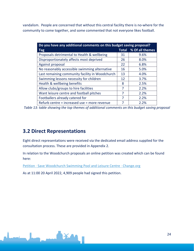vandalism. People are concerned that without this central facility there is no-where for the community to come together, and some commented that not everyone likes football.

| Do you have any additional comments on this budget saving proposal? |              |                 |  |  |  |  |
|---------------------------------------------------------------------|--------------|-----------------|--|--|--|--|
| Tag                                                                 | <b>Total</b> | % Of all themes |  |  |  |  |
| Proposals detrimental to Health & wellbeing                         | 31           | 9.6%            |  |  |  |  |
| Disproportionately affects most deprived                            | 26           | 8.0%            |  |  |  |  |
| Against proposal                                                    | 22           | 6.8%            |  |  |  |  |
| No reasonably accessible swimming alternative                       | 16           | 5.0%            |  |  |  |  |
| Last remaining community facility in Woodchurch                     | 13           | 4.0%            |  |  |  |  |
| Swimming lessons necessity for children                             | 12           | 3.7%            |  |  |  |  |
| Health & wellbeing benefits                                         | 8            | 2.5%            |  |  |  |  |
| Allow clubs/groups to hire facilities                               | 7            | 2.2%            |  |  |  |  |
| Want leisure centre and football pitches                            | 7            | 2.2%            |  |  |  |  |
| Footballers already catered for                                     | 7            | 2.2%            |  |  |  |  |
| Refurb centre = increased use = more revenue                        | 7            | 2.2%            |  |  |  |  |

*Table 13: table showing the top themes of additional comments on this budget saving proposal*

### <span id="page-23-0"></span>**3.2 Direct Representations**

Eight direct representations were received via the dedicated email address supplied for the consultation process. These are provided in Appendix 2.

In relation to the Woodchurch proposals an online petition was created which can be found here:

[Petition · Save Woodchurch Swimming Pool and Leisure Centre · Change.org](https://www.change.org/p/wirral-metropolitan-borough-council-save-woodchurch-leisure-centre)

As at 11:00 20 April 2022, 4,909 people had signed this petition.

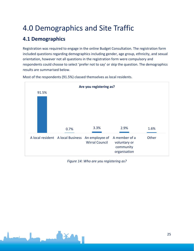## <span id="page-24-0"></span>4.0 Demographics and Site Traffic

## <span id="page-24-1"></span>**4.1 Demographics**

Registration was required to engage in the online Budget Consultation. The registration form included questions regarding demographics including gender, age group, ethnicity, and sexual orientation, however not all questions in the registration form were compulsory and respondents could choose to select 'prefer not to say' or skip the question. The demographics results are summarised below.



Most of the respondents (91.5%) classed themselves as local residents.

*Figure 14: Who are you registering as?*

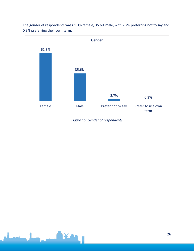

The gender of respondents was 61.3% female, 35.6% male, with 2.7% preferring not to say and 0.3% preferring their own term.

*Figure 15: Gender of respondents*

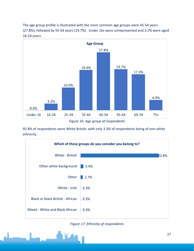The age group profile is illustrated with the most common age groups were 45-54 years (27.8%), followed by 55-64 years (19.7%). Under 16s were unrepresented and 3.2% were aged 16-24 years.



*Figure 16: Age group of respondents*

92.8% of respondents were White British, with only 3.3% of respondents being of non-white ethnicity.





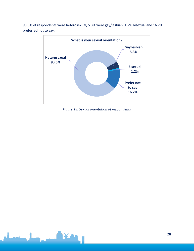93.5% of respondents were heterosexual, 5.3% were gay/lesbian, 1.2% bisexual and 16.2% preferred not to say.



*Figure 18: Sexual orientation of respondents*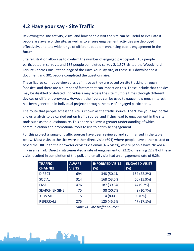### <span id="page-28-0"></span>**4.2 Have your say - Site Traffic**

Reviewing the site activity, visits, and how people visit the site can be useful to evaluate if people are aware of the site, as well as to ensure engagement activities are deployed effectively, and to a wide range of different people – enhancing public engagement in the future.

Site registration allows us to confirm the number of engaged participants, 167 people participated in survey 1 and 136 people completed survey 2. 1,578 visited the Woodchurch Leisure Centre Consultation page of the Have Your Say site, of these 101 downloaded a document and 301 people completed the questionnaire.

These figures cannot be viewed as definitive as they are based on site tracking through 'cookies' and there are a number of factors that can impact on this. These include that cookies may be disabled or deleted, individuals may access the site multiple times through different devices or different browsers. However, the figures can be used to gauge how much interest has been generated in individual projects through the rate of engaged participants.

The route that people access the site is known as the traffic source. The 'Have your say' portal allows analysis to be carried out on traffic source, and if they lead to engagement in the site tools such as the questionnaire. This analysis allows a greater understanding of which communication and promotional tools to use to optimise engagement.

For this project a range of traffic sources have been reviewed and summarised in the table below. Most visits to the site were either direct visits (694) where people have either pasted or typed the URL in to their browser or visits via email (467 visits), where people have clicked a link in an email. Direct visits generated a rate of engagement of 22.2%, meaning 22.2% of these visits resulted in completion of the poll, and email visits had an engagement rate of 9.2%.

| <b>TRAFFIC</b><br><b>CHANNEL</b> | <b>AWARE</b><br><b>VISITS</b> | <b>INFORMED VISITS</b><br>(%) | <b>ENGAGED VISITS</b><br>(%) |
|----------------------------------|-------------------------------|-------------------------------|------------------------------|
| <b>DIRECT</b>                    | 694                           | 348 (50.1%)                   | 154 (22.2%)                  |
| <b>SOCIAL</b>                    | 314                           | 168 (53.5%)                   | 50 (15.9%)                   |
| <b>EMAIL</b>                     | 476                           | 187 (39.3%)                   | 44 (9.2%)                    |
| <b>SEARCH ENGINE</b>             | 75                            | 38 (50.7%)                    | 8 (10.7%)                    |
| .GOV SITES                       | 5                             | 4 (80%)                       | $0(0\%)$                     |
| <b>REFERRALS</b>                 | 275                           | 125 (45.5%)                   | 47 (17.1%)                   |
|                                  |                               |                               |                              |

*Table 14: Site traffic sources*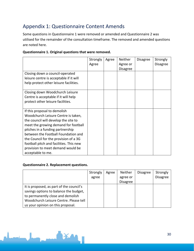## <span id="page-29-0"></span>Appendix 1: Questionnaire Content Amends

Some questions in Questionnaire 1 were removed or amended and Questionnaire 2 was utilised for the remainder of the consultation timeframe. The removed and amended questions are noted here.

|                                         | Strongly<br>Agree | Agree | Neither<br>Agree or | <b>Disagree</b> | Strongly<br><b>Disagree</b> |
|-----------------------------------------|-------------------|-------|---------------------|-----------------|-----------------------------|
|                                         |                   |       | <b>Disagree</b>     |                 |                             |
| Closing down a council-operated         |                   |       |                     |                 |                             |
| leisure centre is acceptable if it will |                   |       |                     |                 |                             |
| help protect other leisure facilities.  |                   |       |                     |                 |                             |
| Closing down Woodchurch Leisure         |                   |       |                     |                 |                             |
| Centre is acceptable if it will help    |                   |       |                     |                 |                             |
| protect other leisure facilities.       |                   |       |                     |                 |                             |
|                                         |                   |       |                     |                 |                             |
| If this proposal to demolish            |                   |       |                     |                 |                             |
| Woodchurch Leisure Centre is taken,     |                   |       |                     |                 |                             |
| the council will develop the site to    |                   |       |                     |                 |                             |
| meet the growing demand for football    |                   |       |                     |                 |                             |
| pitches in a funding partnership        |                   |       |                     |                 |                             |
| between the Football Foundation and     |                   |       |                     |                 |                             |
| the Council for the provision of a 3G   |                   |       |                     |                 |                             |
| football pitch and facilities. This new |                   |       |                     |                 |                             |
| provision to meet demand would be       |                   |       |                     |                 |                             |
| acceptable to me.                       |                   |       |                     |                 |                             |

#### **Questionnaire 2. Replacement questions.**

**XX** 

|                                          | Strongly | Agree | Neither         | <b>Disagree</b> | Strongly        |
|------------------------------------------|----------|-------|-----------------|-----------------|-----------------|
|                                          | agree    |       | agree or        |                 | <b>Disagree</b> |
|                                          |          |       | <b>Disagree</b> |                 |                 |
| It is proposed, as part of the council's |          |       |                 |                 |                 |
| savings options to balance the budget,   |          |       |                 |                 |                 |
| to permanently close and demolish        |          |       |                 |                 |                 |
| Woodchurch Leisure Centre. Please tell   |          |       |                 |                 |                 |
| us your opinion on this proposal.        |          |       |                 |                 |                 |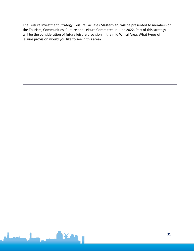The Leisure Investment Strategy (Leisure Facilities Masterplan) will be presented to members of the Tourism, Communities, Culture and Leisure Committee in June 2022. Part of this strategy will be the consideration of future leisure provision in the mid Wirral Area. What types of leisure provision would you like to see in this area?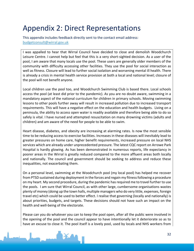## <span id="page-31-0"></span>Appendix 2: Direct Representations

This appendix includes feedback directly sent to the contact email address: [budgetconsult@wirral.gov.uk](mailto:budgetconsult@wirral.gov.uk)

I was appalled to hear that Wirral Council have decided to close and demolish Woodchurch Leisure Centre. I cannot help but feel that this is a very short-sighted decision. As a user of the pool, I am aware that many locals use the pool. These users are generally older members of the community with difficulty accessing other facilities. They use the pool for social interaction as well as fitness. Closure will lead to further social isolation and worsening mental ill health. There is already a crisis in mental health service provision at both a local and national level; closure of the pool will not benefit anyone.

Local children use the pool too, and Woodchurch Swimming Club is based there. Local schools access the pool (at least did prior to the pandemic). As you are no doubt aware, swimming in a mandatory aspect of the national curriculum for children in primary schools. Moving swimming lessons to other pools further away will result in increased pollution due to increased transport requirements. This will have a negative effect on the education and health budgets. Living on a peninsula, the ability to access open water is readily available and therefore being able to do so safely is vital. I have nursed and attempted resuscitation on many drowning victims (adults and children) and am aware of the need for people to be able to swim.

Heart disease, diabetes, and obesity are increasing at alarming rates. Is now the most sensible time to be reducing access to exercise facilities. Increases in these diseases will inevitably lead to greater pressures on home care, higher benefit requirements, increased pressure on local NHS services which are already under unprecedented pressure. The latest CQC report on Arrowe Park Hospital is hardly glowing. As has been demonstrated in numerous reports, life expectancy in poorer areas in the Wirral is greatly reduced compared to the more affluent areas both locally and nationally. The council and government should be seeking to address and reduce these inequalities, not exacerbating them.

On a personal level, swimming at the Woodchurch pool (my local pool) has helped me recover from PTSD sustained during deployment in the forces and regain my fitness following a procedure on my heart. My second procedure, during the pandemic has required me to travel further to use the pools. I am sure that Wirral Council, as with other large, cumbersome organisations wastes plenty of money (doing up the town halls, multiple managers who do very little, expenses, foreign travel etc) which could be used to better effect. I realise that governing (locally and nationally) is about priorities, budgets, and targets. These decisions should not have such an impact on the health and well-being of the electorate.

Please can you do whatever you can to keep the pool open, after all the public were involved in the opening of the pool and the council appear to have intentionally let it deteriorate so as to have an excuse to close it. The pool itself is a lovely pool, used by locals and NHS workers from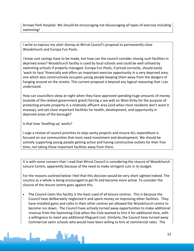Arrowe Park Hospital. We should be encouraging not discouraging all types of exercise including swimming!

I write to express my utter dismay at Wirral Council's proposal to permanently close Woodchurch and Europa Fun Pools.

I know cost savings have to be made, but how can the council consider closing such facilities in deprived areas? Woodchurch facility is used by local schools and could be well utilised by swimming schools if properly managed. Europa Fun Pools, if priced correctly, should easily 'wash its face' financially and offers an important exercise opportunity in a very deprived area, one which also constructively occupies young people keeping them away from the dangers of hanging around on the streets. This current proposal is beyond any logical reasoning that I can understand.

How can councillors sleep at night when they have approved spending huge amounts of money (outside of the related government grant) forcing a sea wall on West Kirby for the purpose of protecting private property in a relatively affluent area (and when most residents don't want it anyway), and yet close important facilities for health, development, and opportunity in deprived areas of the borough?

Is that how 'levelling up' works?

I urge a review of council priorities to stop vanity projects and ensure ALL expenditure is focused on our communities that most need investment and development. We should be actively supporting young people getting active and having constructive outlets for their free time, not taking these important facilities away from them.

It is with some concern that I read that Wirral Council is considering the closure of Woodchurch Leisure Centre, apparently because of the need to make stringent cuts in its budget.

For the reasons outlined below I feel that this decision would be very short sighted indeed. The country as a whole is being encouraged to get fit and become more active. To consider the closure of the leisure centre goes against this.

• The Council claim this facility is the least used of all leisure centres. This is because the Council have deliberately neglected it and spent money on improving other facilities. They have installed gyms and cafes in their other centres yet allowed the Woodchurch centre to become run down. The Council have actively turned away opportunities to make additional revenue from the Swimming Club when the Club wanted to hire it for additional time, with a willingness to meet any additional lifeguard cost. Similarly, the Council have turned away Commercial swim schools who would have been willing to hire at commercial rates. The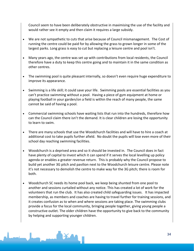Council seem to have been deliberately obstructive in maximising the use of the facility and would rather see it empty and then claim it requires a large subsidy.

- We are not sympathetic to cuts that arise because of Council mismanagement. The Cost of running the centre could be paid for by allowing the grass to grown longer in some of the largest parks. Long grass is easy to cut but replacing a leisure centre and pool isn't.
- Many years ago, the centre was set up with contributions from local residents, the Council therefore have a duty to keep this centre going and to maintain it in the same condition as other centres.
- The swimming pool is quite pleasant internally, so doesn't even require huge expenditure to improve its appearance.
- Swimming is a life skill; it could save your life. Swimming pools are essential facilities as you can't practice swimming without a pool. Having a piece of gym equipment at home or playing football in your garden/on a field is within the reach of many people, the same cannot be said of having a pool.
- Commercial swimming schools have waiting lists that run into the hundreds, therefore how can the Council claim there isn't the demand. It is clear children are losing the opportunity to learn to swim.
- There are many schools that use the Woodchurch facilities and will have to hire a coach at additional cost to take pupils further afield. No doubt the pupils will lose even more of their school day reaching swimming facilities.
- Woodchurch is a deprived area and so it should be invested in. The Council does in fact have plenty of capital to invest which it can spend if it serves the local levelling up policy agenda or enables a greater revenue return. This is probably why the Council propose to build yet another 3G pitch and pavilion next to the Woodchurch leisure centre. Please note it's not necessary to demolish the centre to make way for the 3G pitch; there is room for both.
- Woodchurch SC needs its home pool back, we keep being shunted from one pool to another and sessions curtailed without any notice. This has created a lot of work for the volunteers that run the club. It has also created child safeguarding issues. It has impacted membership, as members and coaches are having to travel further for training sessions, and it creates confusion as to when and where sessions are taking place. The swimming clubs provide a focus for the local community, bringing people together, giving young people a constructive outlet. The older children have the opportunity to give back to the community by helping and supporting younger children.

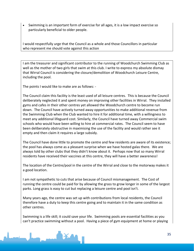• Swimming is an important form of exercise for all ages, it is a low impact exercise so particularly beneficial to older people.

I would respectfully urge that the Council as a whole and those Councillors in particular who represent me should vote against this action

I am the treasurer and significant contributor to the running of Woodchurch Swimming Club as well as the mother of two girls that swim at this club. I write to express my absolute dismay that Wirral Council is considering the closure/demolition of Woodchurch Leisure Centre, including the pool.

The points I would like to make are as follows: -

The Council claim this facility is the least used of all leisure centres. This is because the Council deliberately neglected it and spent money on improving other facilities in Wirral. They installed gyms and cafes in their other centres yet allowed the Woodchurch centre to become run down. The Council have actively turned away opportunities to make additional revenue from the Swimming Club when the Club wanted to hire it for additional time, with a willingness to meet any additional lifeguard cost. Similarly, the Council have turned away Commercial swim schools who would have been willing to hire at commercial rates. The Council seem to have been deliberately obstructive in maximising the use of the facility and would rather see it empty and then claim it requires a large subsidy.

The Council have done little to promote the centre and few residents are aware of its existence; the pool has always come as a pleasant surprise when we have hosted galas there. We are always told by other clubs that they didn't know about it. Perhaps now that so many Wirral residents have received their vaccines at this centre, they will have a better awareness!

The location of the Centre/pool in the centre of the Wirral and close to the motorway makes it a good location.

I am not sympathetic to cuts that arise because of Council mismanagement. The Cost of running the centre could be paid for by allowing the grass to grow longer in some of the largest parks. Long grass is easy to cut but replacing a leisure centre and pool isn't.

Many years ago, the centre was set up with contributions from local residents, the Council therefore have a duty to keep this centre going and to maintain it in the same condition as other centres.

Swimming is a life skill; it could save your life. Swimming pools are essential facilities as you can't practice swimming without a pool. Having a piece of gym equipment at home or playing

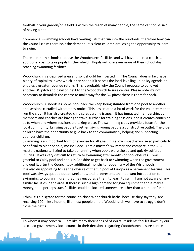football in your garden/on a field is within the reach of many people; the same cannot be said of having a pool.

Commercial swimming schools have waiting lists that run into the hundreds, therefore how can the Council claim there isn't the demand. It is clear children are losing the opportunity to learn to swim.

There are many schools that use the Woodchurch facilities and will have to hire a coach at additional cost to take pupils further afield. Pupils will lose even more of their school day reaching swimming facilities.

Woodchurch is a deprived area and so it should be invested in. The Council does in fact have plenty of capital to invest which it can spend if it serves the local levelling up policy agenda or enables a greater revenue return. This is probably why the Council propose to build yet another 3G pitch and pavilion next to the Woodchurch leisure centre. Please note it's not necessary to demolish the centre to make way for the 3G pitch; there is room for both.

Woodchurch SC needs its home pool back, we keep being shunted from one pool to another and sessions curtailed without any notice. This has created a lot of work for the volunteers that run the club. It has also created child safeguarding issues. It has impacted membership, as members and coaches are having to travel further for training sessions, and it creates confusion as to when and where sessions are taking place. The swimming clubs provide a focus for the local community, bringing people together, giving young people a constructive outlet. The older children have the opportunity to give back to the community by helping and supporting younger children.

Swimming is an important form of exercise for all ages, it is a low impact exercise so particularly beneficial to older people, me included. I am a master's swimmer and compete in the ASA masters nationals. I tried to take up running when pools were closed and quickly suffered injuries. It was very difficult to return to swimming after months of pool closures. I was grateful to Caldy pool and pools in Cheshire to get back to swimming when the government allowed it, after the Council took additional months to reopen any of the Wirral pools. It is also disappointing to see the closure of the fun pool at Europa as a permanent feature. This pool was always queued out at weekends, and it represents an important introduction to swimming to young children that may encourage them to learn to swim, I am not aware of any similar facilities in the area. If there is such a high demand for gym equipment and it makes money, then perhaps such facilities could be located somewhere other than a popular fun pool.

I think it's a disgrace for the council to close Woodchurch baths because they say they are receiving 100m less income, like most people on the Woodchurch we have to struggle don't close the baths

To whom it may concern... I am like many thousands of of Wirral residents feel let down by our so called government/ local council in their decisions regarding Woodchurch leisure centre

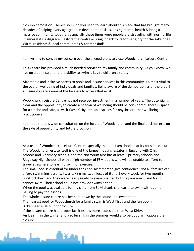closure/demolition. There's so much you need to learn about this place that has brought many decades of helping every age group in development skills, easing mental health & bring a massive community together, especially these times were people are struggling with normal life in general it s a disgrace. Restore the centre & bring it back to its former glory for the sake of all Wirral residents & local communities & for mankind!!!.

I am writing to convey my concern over the alleged plans to close Woodchurch Leisure Centre.

This Centre has provided a much needed service to my family and community. As you know, we live on a peninsular and the ability to swim is key to children's safety.

Affordable and inclusive access to pools and leisure services in this community is almost vital to the overall wellbeing of individuals and families. Being aware of the demographics of the area, I am sure you are aware of the barriers to access that exist.

Woodchurch Leisure Centre has not received investment in a number of years. The potential is clear and the opportunity to create a beacon of wellbeing should be considered. There is space for a creche and cafe, as with West Kirby, rentable spaces for physios or other wellbeing practitioners.

I do hope there is wide consultation on the future of Woodchurch and the final decision errs on the side of opportunity and future provision.

As a user of Woodchurch Leisure Centre especially the pool I am shocked at its possible closure. The Woodchurch estate itself is one of the largest housing estates in England with 2 high schools and 3 primary schools, and the Noctorum also has at least 3 primary schools and Ridgeway High School all with a high number of FSM pupils who will be unable to afford to travel elsewhere to learn to swim or exercise.

The small pool is essential for under tens non swimmers to give confidence. Not all families can afford swimming lessons. I was taking my two nieces of 6 and 5 every week for two months until lockdown and they were nearly ready to swim unaided but they are now 8 and 6 and cannot swim. Their school could not provide swims either.

When the pool was available for my child from St Michaels she learnt to swim without me having to pay for lessons.

The whole leisure centre has been let down by the council on investment.

The nearest pool for Woodchurch for a family swim is West Kirby and the fun pool in Birkenhead is also up for closure.

If the leisure centre had proper facilities it is more accessible than West Kirby. An Ice rink in the winter and a roller rink in the summer would also be popular. I oppose the closure.